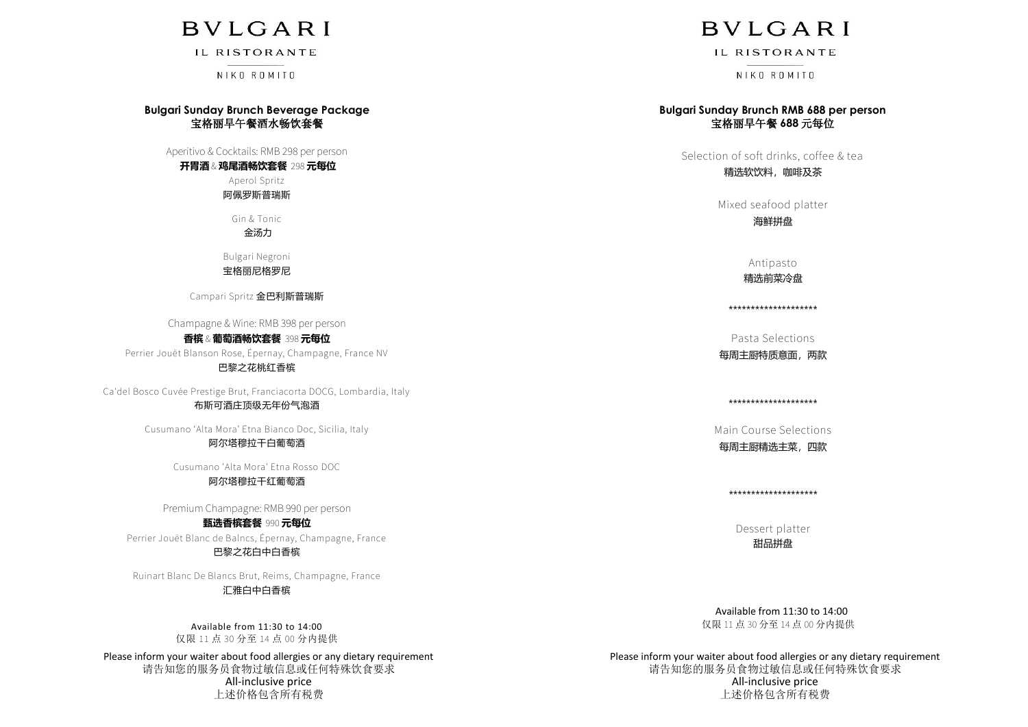## **BVLGARI**

IL RISTORANTE

NIKO ROMITO

#### **Bulgari Sunday Brunch Beverage Package** 宝格丽早午餐酒水畅饮套餐

Aperitivo & Cocktails: RMB 298 per person

#### **开胃酒** & **鸡尾酒畅饮套餐** 298 **元每位**

Aperol Spritz 阿佩罗斯普瑞斯

Gin & Tonic

金汤力

Bulgari Negroni

#### 宝格丽尼格罗尼

Campari Spritz 金巴利斯普瑞斯

Champagne & Wine: RMB 398 per person

**香槟** & **葡萄酒畅饮套餐** 398 **元每位** Perrier Jouët Blanson Rose, Épernay, Champagne, France NV 巴黎之花桃红香槟

Ca'del Bosco Cuvée Prestige Brut, Franciacorta DOCG, Lombardia, Italy

#### 布斯可酒庄顶级无年份气泡酒

Cusumano 'Alta Mora' Etna Bianco Doc, Sicilia, Italy 阿尔塔穆拉干白葡萄酒

Cusumano 'Alta Mora' Etna Rosso DOC

#### 阿尔塔穆拉干红葡萄酒

Premium Champagne: RMB 990 per person

**甄选香槟套餐** 990 **元每位** Perrier Jouët Blanc de Balncs, Épernay, Champagne, France 巴黎之花白中白香槟

Ruinart Blanc De Blancs Brut, Reims, Champagne, France

#### 汇雅白中白香槟

Available from 11:30 to 14:00 仅限 11 点 30 分至 14 点 00 分内提供

Please inform your waiter about food allergies or any dietary requirement 请告知您的服务员食物过敏信息或任何特殊饮食要求 All-inclusive price 上述价格包含所有税费

## **BVLGARI**

IL RISTORANTE

NIKO ROMITO

#### **Bulgari Sunday Brunch RMB 688 per person** 宝格丽早午餐 **688** 元每位

Selection of soft drinks, coffee & tea

精选软饮料,咖啡及茶

Mixed seafood platter

海鲜拼盘

Antipasto 精选前菜冷盘

\*\*\*\*\*\*\*\*\*\*\*\*\*\*\*\*\*\*\*\*

Pasta Selections

每周主厨特质意面,两款

\*\*\*\*\*\*\*\*\*\*\*\*\*\*\*\*\*\*\*\*

Main Course Selections 每周主厨精选主菜,四款

\*\*\*\*\*\*\*\*\*\*\*\*\*\*\*\*\*\*\*\*

Dessert platter 甜品拼盘

 Available from 11:30 to 14:00 仅限 11 点 30 分至 14 点 00 分内提供

Please inform your waiter about food allergies or any dietary requirement 请告知您的服务员食物过敏信息或任何特殊饮食要求 All-inclusive price 上述价格包含所有税费